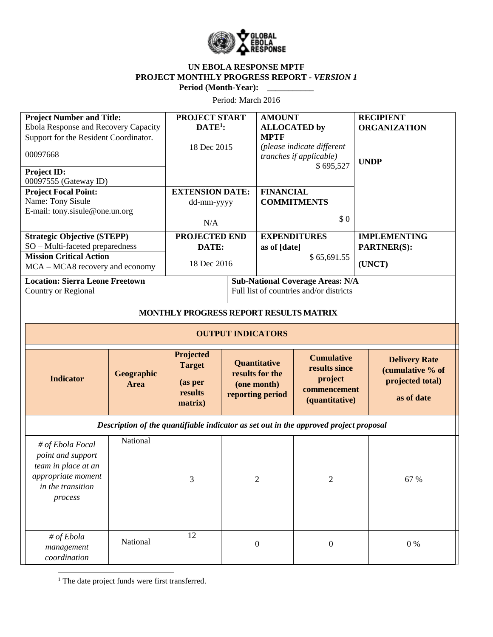

## **UN EBOLA RESPONSE MPTF PROJECT MONTHLY PROGRESS REPORT** *- VERSION 1* **Period (Month-Year): \_\_\_\_\_\_\_\_\_\_\_**

Period: March 2016

| <b>Project Number and Title:</b>                                                                                   |                    | <b>PROJECT START</b>                           |                                         | <b>AMOUNT</b>                                                      |                                                                                 |                     | <b>RECIPIENT</b>                                                           |  |
|--------------------------------------------------------------------------------------------------------------------|--------------------|------------------------------------------------|-----------------------------------------|--------------------------------------------------------------------|---------------------------------------------------------------------------------|---------------------|----------------------------------------------------------------------------|--|
| Ebola Response and Recovery Capacity                                                                               |                    | $DATE1$ :                                      |                                         | <b>ALLOCATED</b> by                                                |                                                                                 |                     | <b>ORGANIZATION</b>                                                        |  |
| Support for the Resident Coordinator.                                                                              |                    |                                                |                                         | <b>MPTF</b>                                                        |                                                                                 |                     |                                                                            |  |
| 00097668                                                                                                           |                    | 18 Dec 2015                                    |                                         | (please indicate different<br>tranches if applicable)<br>\$695,527 |                                                                                 | <b>UNDP</b>         |                                                                            |  |
| Project ID:                                                                                                        |                    |                                                |                                         |                                                                    |                                                                                 |                     |                                                                            |  |
| 00097555 (Gateway ID)                                                                                              |                    |                                                |                                         |                                                                    |                                                                                 |                     |                                                                            |  |
| <b>Project Focal Point:</b>                                                                                        |                    | <b>EXTENSION DATE:</b>                         |                                         | <b>FINANCIAL</b>                                                   |                                                                                 |                     |                                                                            |  |
| Name: Tony Sisule                                                                                                  |                    | dd-mm-yyyy                                     |                                         | <b>COMMITMENTS</b>                                                 |                                                                                 |                     |                                                                            |  |
| E-mail: tony.sisule@one.un.org                                                                                     |                    |                                                |                                         |                                                                    |                                                                                 |                     |                                                                            |  |
|                                                                                                                    |                    | N/A                                            |                                         | \$0                                                                |                                                                                 |                     |                                                                            |  |
| <b>Strategic Objective (STEPP)</b>                                                                                 |                    | PROJECTED END                                  |                                         | <b>EXPENDITURES</b>                                                |                                                                                 | <b>IMPLEMENTING</b> |                                                                            |  |
| SO - Multi-faceted preparedness                                                                                    |                    | DATE:                                          |                                         | as of [date]                                                       |                                                                                 | <b>PARTNER(S):</b>  |                                                                            |  |
| <b>Mission Critical Action</b>                                                                                     |                    |                                                |                                         | \$65,691.55                                                        |                                                                                 |                     |                                                                            |  |
| MCA - MCA8 recovery and economy                                                                                    |                    | 18 Dec 2016                                    |                                         |                                                                    |                                                                                 |                     | (UNCT)                                                                     |  |
|                                                                                                                    |                    |                                                |                                         |                                                                    |                                                                                 |                     |                                                                            |  |
| <b>Location: Sierra Leone Freetown</b>                                                                             |                    |                                                |                                         |                                                                    | <b>Sub-National Coverage Areas: N/A</b>                                         |                     |                                                                            |  |
| Country or Regional                                                                                                |                    |                                                | Full list of countries and/or districts |                                                                    |                                                                                 |                     |                                                                            |  |
|                                                                                                                    |                    |                                                |                                         |                                                                    |                                                                                 |                     |                                                                            |  |
| MONTHLY PROGRESS REPORT RESULTS MATRIX                                                                             |                    |                                                |                                         |                                                                    |                                                                                 |                     |                                                                            |  |
| <b>OUTPUT INDICATORS</b>                                                                                           |                    |                                                |                                         |                                                                    |                                                                                 |                     |                                                                            |  |
|                                                                                                                    |                    | Projected                                      |                                         |                                                                    |                                                                                 |                     |                                                                            |  |
| <b>Indicator</b>                                                                                                   | Geographic<br>Area | <b>Target</b><br>(as per<br>results<br>matrix) |                                         | Quantitative<br>results for the<br>(one month)<br>reporting period | <b>Cumulative</b><br>results since<br>project<br>commencement<br>(quantitative) |                     | <b>Delivery Rate</b><br>(cumulative % of<br>projected total)<br>as of date |  |
| Description of the quantifiable indicator as set out in the approved project proposal                              |                    |                                                |                                         |                                                                    |                                                                                 |                     |                                                                            |  |
| # of Ebola Focal<br>point and support<br>team in place at an<br>appropriate moment<br>in the transition<br>process | National           | 3                                              |                                         | $\overline{2}$                                                     | $\overline{2}$                                                                  |                     | 67 %                                                                       |  |
| # of Ebola<br>management<br>coordination                                                                           | National           | 12                                             |                                         | $\boldsymbol{0}$                                                   | $\boldsymbol{0}$                                                                |                     | $0\ \%$                                                                    |  |

 $\overline{\phantom{a}}$ <sup>1</sup> The date project funds were first transferred.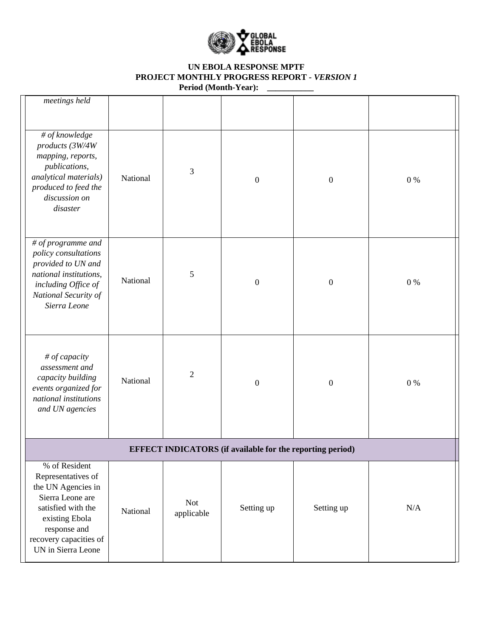

# **UN EBOLA RESPONSE MPTF PROJECT MONTHLY PROGRESS REPORT** *- VERSION 1* **Period (Month-Year): \_\_\_\_\_\_\_\_\_\_\_**

| meetings held                                                                                                                                                                         |          |                          |                  |                  |         |  |  |
|---------------------------------------------------------------------------------------------------------------------------------------------------------------------------------------|----------|--------------------------|------------------|------------------|---------|--|--|
| # of knowledge<br>products (3W/4W<br>mapping, reports,<br>publications,<br>analytical materials)<br>produced to feed the<br>discussion on<br>disaster                                 | National | 3                        | $\boldsymbol{0}$ | $\boldsymbol{0}$ | 0%      |  |  |
| # of programme and<br>policy consultations<br>provided to UN and<br>national institutions,<br>including Office of<br>National Security of<br>Sierra Leone                             | National | 5                        | $\boldsymbol{0}$ | $\mathbf{0}$     | $0\%$   |  |  |
| # of capacity<br>assessment and<br>capacity building<br>events organized for<br>national institutions<br>and UN agencies                                                              | National | $\overline{2}$           | $\boldsymbol{0}$ | $\boldsymbol{0}$ | $0\ \%$ |  |  |
| <b>EFFECT INDICATORS</b> (if available for the reporting period)                                                                                                                      |          |                          |                  |                  |         |  |  |
| % of Resident<br>Representatives of<br>the UN Agencies in<br>Sierra Leone are<br>satisfied with the<br>existing Ebola<br>response and<br>recovery capacities of<br>UN in Sierra Leone | National | <b>Not</b><br>applicable | Setting up       | Setting up       | N/A     |  |  |